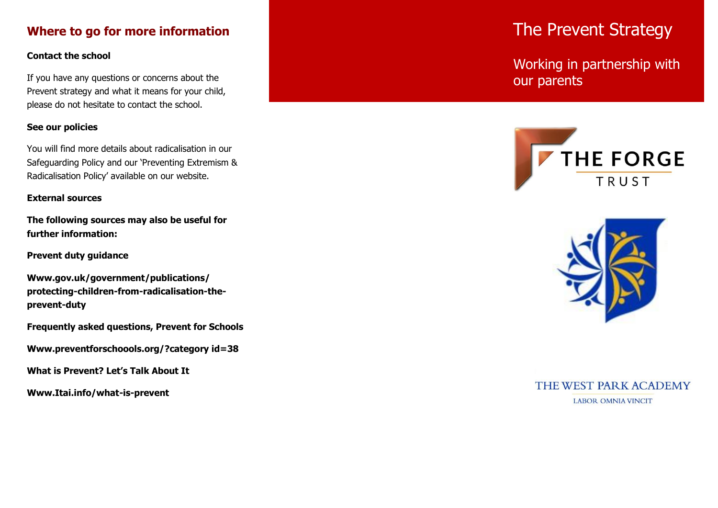## **Where to go for more information**

#### **Contact the school**

If you have any questions or concerns about the Prevent strategy and what it means for your child, please do not hesitate to contact the school.

#### **See our policies**

You will find more details about radicalisation in our Safeguarding Policy and our 'Preventing Extremism & Radicalisation Policy' available on our website.

#### **External sources**

**The following sources may also be useful for further information:**

**Prevent duty guidance**

**Www.gov.uk/government/publications/ protecting-children-from-radicalisation-theprevent-duty**

**Frequently asked questions, Prevent for Schools** 

**Www.preventforschoools.org/?category id=38** 

**What is Prevent? Let's Talk About It** 

**Www.Itai.info/what-is-prevent**

# The Prevent Strategy

Working in partnership with our parents





## THE WEST PARK ACADEMY **LABOR OMNIA VINCIT**